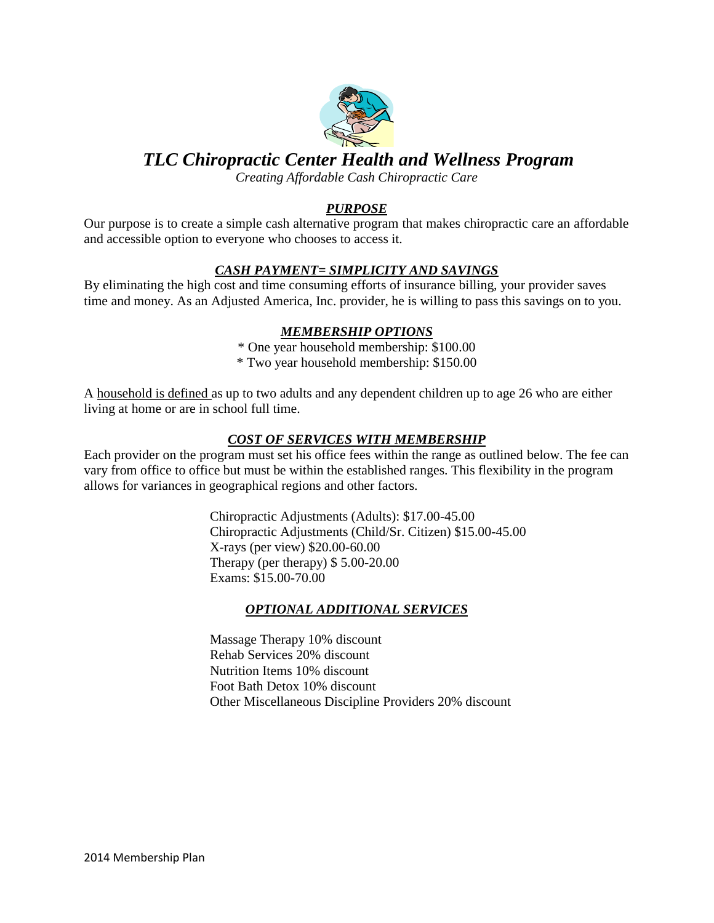

# *TLC Chiropractic Center Health and Wellness Program*

*Creating Affordable Cash Chiropractic Care* 

## *PURPOSE*

Our purpose is to create a simple cash alternative program that makes chiropractic care an affordable and accessible option to everyone who chooses to access it.

### *CASH PAYMENT= SIMPLICITY AND SAVINGS*

By eliminating the high cost and time consuming efforts of insurance billing, your provider saves time and money. As an Adjusted America, Inc. provider, he is willing to pass this savings on to you.

### *MEMBERSHIP OPTIONS*

\* One year household membership: \$100.00

\* Two year household membership: \$150.00

A household is defined as up to two adults and any dependent children up to age 26 who are either living at home or are in school full time.

### *COST OF SERVICES WITH MEMBERSHIP*

Each provider on the program must set his office fees within the range as outlined below. The fee can vary from office to office but must be within the established ranges. This flexibility in the program allows for variances in geographical regions and other factors.

> Chiropractic Adjustments (Adults): \$17.00-45.00 Chiropractic Adjustments (Child/Sr. Citizen) \$15.00-45.00 X-rays (per view) \$20.00-60.00 Therapy (per therapy) \$ 5.00-20.00 Exams: \$15.00-70.00

### *OPTIONAL ADDITIONAL SERVICES*

Massage Therapy 10% discount Rehab Services 20% discount Nutrition Items 10% discount Foot Bath Detox 10% discount Other Miscellaneous Discipline Providers 20% discount